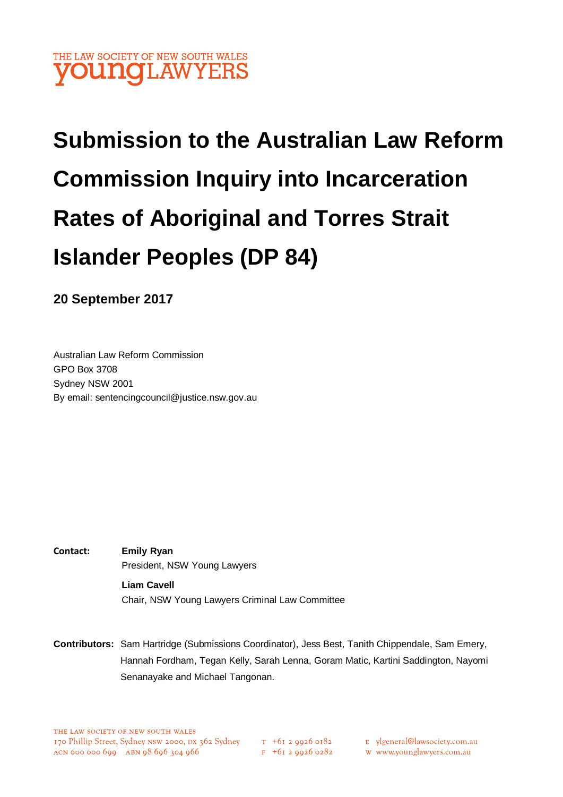# THE LAW SOCIETY OF NEW SOUTH WALES **OUNGLAWYERS**

# **Submission to the Australian Law Reform Commission Inquiry into Incarceration Rates of Aboriginal and Torres Strait Islander Peoples (DP 84)**

**20 September 2017**

Australian Law Reform Commission GPO Box 3708 Sydney NSW 2001 By email: sentencingcouncil@justice.nsw.gov.au

- **Contact: Emily Ryan** President, NSW Young Lawyers **Liam Cavell** Chair, NSW Young Lawyers Criminal Law Committee
- **Contributors:** Sam Hartridge (Submissions Coordinator), Jess Best, Tanith Chippendale, Sam Emery, Hannah Fordham, Tegan Kelly, Sarah Lenna, Goram Matic, Kartini Saddington, Nayomi Senanayake and Michael Tangonan.

 $T_{-}$  +61 2 9926 0182  $F + 6I$  2 9926 0282

- E ylgeneral@lawsociety.com.au
	- w www.younglawyers.com.au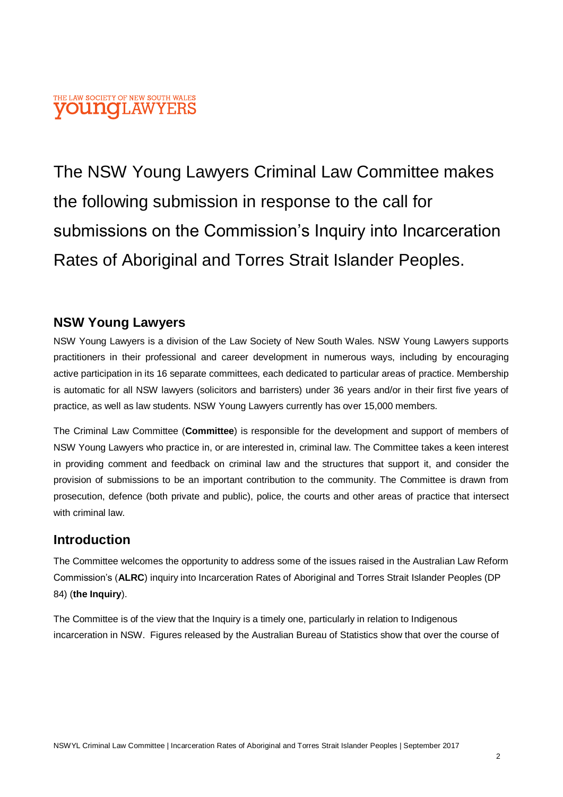#### THE LAW SOCIETY OF NEW SOUTH WALES **OUNOLAWYER**

The NSW Young Lawyers Criminal Law Committee makes the following submission in response to the call for submissions on the Commission's Inquiry into Incarceration Rates of Aboriginal and Torres Strait Islander Peoples.

#### **NSW Young Lawyers**

NSW Young Lawyers is a division of the Law Society of New South Wales. NSW Young Lawyers supports practitioners in their professional and career development in numerous ways, including by encouraging active participation in its 16 separate committees, each dedicated to particular areas of practice. Membership is automatic for all NSW lawyers (solicitors and barristers) under 36 years and/or in their first five years of practice, as well as law students. NSW Young Lawyers currently has over 15,000 members.

The Criminal Law Committee (**Committee**) is responsible for the development and support of members of NSW Young Lawyers who practice in, or are interested in, criminal law. The Committee takes a keen interest in providing comment and feedback on criminal law and the structures that support it, and consider the provision of submissions to be an important contribution to the community. The Committee is drawn from prosecution, defence (both private and public), police, the courts and other areas of practice that intersect with criminal law.

#### **Introduction**

The Committee welcomes the opportunity to address some of the issues raised in the Australian Law Reform Commission's (**ALRC**) inquiry into Incarceration Rates of Aboriginal and Torres Strait Islander Peoples (DP 84) (**the Inquiry**).

The Committee is of the view that the Inquiry is a timely one, particularly in relation to Indigenous incarceration in NSW. Figures released by the Australian Bureau of Statistics show that over the course of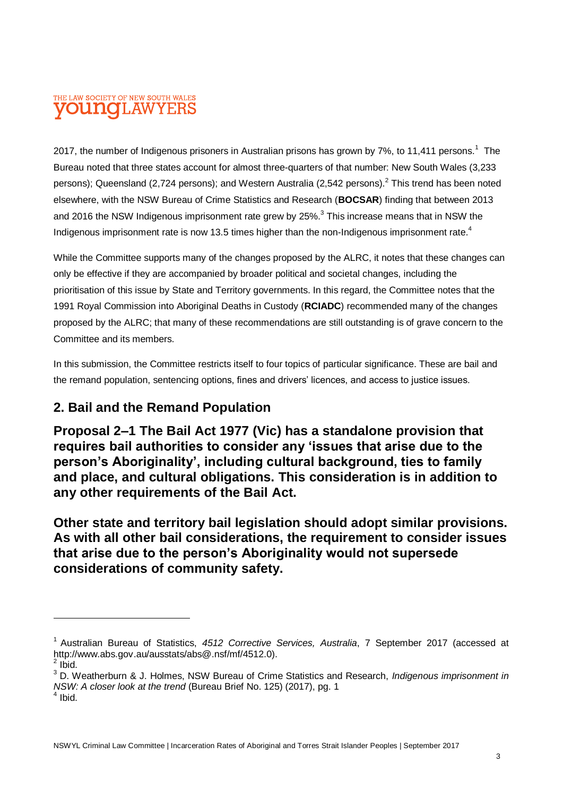#### THE LAW SOCIETY OF NEW SOUTH WALES **OUNOLAW**

2017, the number of Indigenous prisoners in Australian prisons has grown by 7%, to 11,411 persons.<sup>1</sup> The Bureau noted that three states account for almost three-quarters of that number: New South Wales (3,233 persons); Queensland (2,724 persons); and Western Australia (2,542 persons).<sup>2</sup> This trend has been noted elsewhere, with the NSW Bureau of Crime Statistics and Research (**BOCSAR**) finding that between 2013 and 2016 the NSW Indigenous imprisonment rate grew by 25%. $^3$  This increase means that in NSW the Indigenous imprisonment rate is now 13.5 times higher than the non-Indigenous imprisonment rate.<sup>4</sup>

While the Committee supports many of the changes proposed by the ALRC, it notes that these changes can only be effective if they are accompanied by broader political and societal changes, including the prioritisation of this issue by State and Territory governments. In this regard, the Committee notes that the 1991 Royal Commission into Aboriginal Deaths in Custody (**RCIADC**) recommended many of the changes proposed by the ALRC; that many of these recommendations are still outstanding is of grave concern to the Committee and its members.

In this submission, the Committee restricts itself to four topics of particular significance. These are bail and the remand population, sentencing options, fines and drivers' licences, and access to justice issues.

# **2. Bail and the Remand Population**

**Proposal 2–1 The Bail Act 1977 (Vic) has a standalone provision that requires bail authorities to consider any 'issues that arise due to the person's Aboriginality', including cultural background, ties to family and place, and cultural obligations. This consideration is in addition to any other requirements of the Bail Act.** 

**Other state and territory bail legislation should adopt similar provisions. As with all other bail considerations, the requirement to consider issues that arise due to the person's Aboriginality would not supersede considerations of community safety.**

 $\overline{a}$ 

<sup>1</sup> Australian Bureau of Statistics, *4512 Corrective Services, Australia*, 7 September 2017 (accessed at http://www.abs.gov.au/ausstats/abs@.nsf/mf/4512.0).  $2$  lbid.

<sup>3</sup> D. Weatherburn & J. Holmes, NSW Bureau of Crime Statistics and Research, *Indigenous imprisonment in NSW: A closer look at the trend* (Bureau Brief No. 125) (2017), pg. 1

<sup>&</sup>lt;sup>4</sup> Ibid.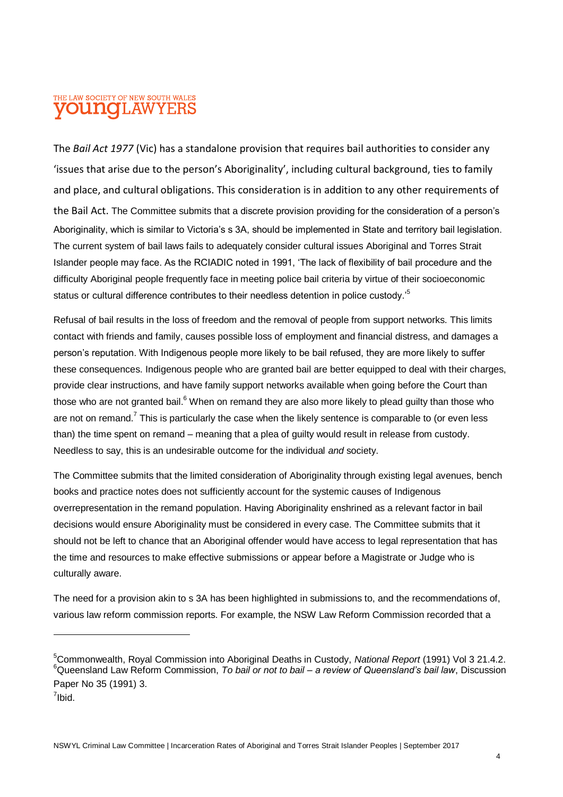#### THE LAW SOCIETY OF NEW SOUTH WALES **OUNOLAWYERS**

The *Bail Act 1977* (Vic) has a standalone provision that requires bail authorities to consider any 'issues that arise due to the person's Aboriginality', including cultural background, ties to family and place, and cultural obligations. This consideration is in addition to any other requirements of the Bail Act. The Committee submits that a discrete provision providing for the consideration of a person's Aboriginality, which is similar to Victoria's s 3A, should be implemented in State and territory bail legislation. The current system of bail laws fails to adequately consider cultural issues Aboriginal and Torres Strait Islander people may face. As the RCIADIC noted in 1991, 'The lack of flexibility of bail procedure and the difficulty Aboriginal people frequently face in meeting police bail criteria by virtue of their socioeconomic status or cultural difference contributes to their needless detention in police custody.<sup>5</sup>

Refusal of bail results in the loss of freedom and the removal of people from support networks. This limits contact with friends and family, causes possible loss of employment and financial distress, and damages a person's reputation. With Indigenous people more likely to be bail refused, they are more likely to suffer these consequences. Indigenous people who are granted bail are better equipped to deal with their charges, provide clear instructions, and have family support networks available when going before the Court than those who are not granted bail. $6$  When on remand they are also more likely to plead guilty than those who are not on remand.<sup>7</sup> This is particularly the case when the likely sentence is comparable to (or even less than) the time spent on remand – meaning that a plea of guilty would result in release from custody. Needless to say, this is an undesirable outcome for the individual *and* society.

The Committee submits that the limited consideration of Aboriginality through existing legal avenues, bench books and practice notes does not sufficiently account for the systemic causes of Indigenous overrepresentation in the remand population. Having Aboriginality enshrined as a relevant factor in bail decisions would ensure Aboriginality must be considered in every case. The Committee submits that it should not be left to chance that an Aboriginal offender would have access to legal representation that has the time and resources to make effective submissions or appear before a Magistrate or Judge who is culturally aware.

The need for a provision akin to s 3A has been highlighted in submissions to, and the recommendations of, various law reform commission reports. For example, the NSW Law Reform Commission recorded that a

 $\overline{a}$ 

<sup>5</sup>Commonwealth, Royal Commission into Aboriginal Deaths in Custody, *National Report* (1991) Vol 3 21.4.2. <sup>6</sup>Queensland Law Reform Commission, *To bail or not to bail – a review of Queensland's bail law*, Discussion Paper No 35 (1991) 3.

<sup>&</sup>lt;sup>7</sup>lbid.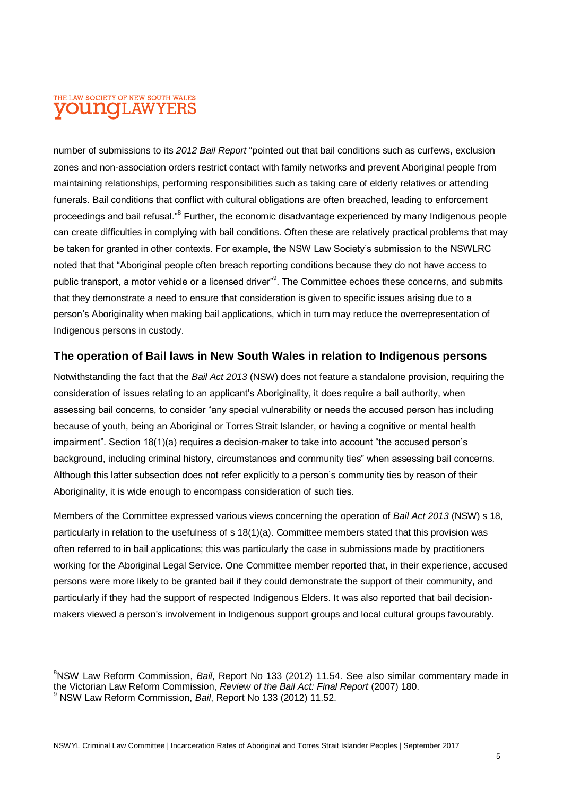#### THE LAW SOCIETY OF NEW SOUTH WALES **OUNOLAWYERS**

number of submissions to its *2012 Bail Report* "pointed out that bail conditions such as curfews, exclusion zones and non-association orders restrict contact with family networks and prevent Aboriginal people from maintaining relationships, performing responsibilities such as taking care of elderly relatives or attending funerals. Bail conditions that conflict with cultural obligations are often breached, leading to enforcement proceedings and bail refusal."<sup>8</sup> Further, the economic disadvantage experienced by many Indigenous people can create difficulties in complying with bail conditions. Often these are relatively practical problems that may be taken for granted in other contexts. For example, the NSW Law Society's submission to the NSWLRC noted that that "Aboriginal people often breach reporting conditions because they do not have access to public transport, a motor vehicle or a licensed driver"<sup>9</sup>. The Committee echoes these concerns, and submits that they demonstrate a need to ensure that consideration is given to specific issues arising due to a person's Aboriginality when making bail applications, which in turn may reduce the overrepresentation of Indigenous persons in custody.

#### **The operation of Bail laws in New South Wales in relation to Indigenous persons**

Notwithstanding the fact that the *Bail Act 2013* (NSW) does not feature a standalone provision, requiring the consideration of issues relating to an applicant's Aboriginality, it does require a bail authority, when assessing bail concerns, to consider "any special vulnerability or needs the accused person has including because of youth, being an Aboriginal or Torres Strait Islander, or having a cognitive or mental health impairment". Section 18(1)(a) requires a decision-maker to take into account "the accused person's background, including criminal history, circumstances and community ties" when assessing bail concerns. Although this latter subsection does not refer explicitly to a person's community ties by reason of their Aboriginality, it is wide enough to encompass consideration of such ties.

Members of the Committee expressed various views concerning the operation of *Bail Act 2013* (NSW) s 18, particularly in relation to the usefulness of s 18(1)(a). Committee members stated that this provision was often referred to in bail applications; this was particularly the case in submissions made by practitioners working for the Aboriginal Legal Service. One Committee member reported that, in their experience, accused persons were more likely to be granted bail if they could demonstrate the support of their community, and particularly if they had the support of respected Indigenous Elders. It was also reported that bail decisionmakers viewed a person's involvement in Indigenous support groups and local cultural groups favourably.

<sup>8</sup>NSW Law Reform Commission, *Bail*, Report No 133 (2012) 11.54. See also similar commentary made in the Victorian Law Reform Commission, *Review of the Bail Act: Final Report* (2007) 180. <sup>9</sup> NSW Law Reform Commission, *Bail*, Report No 133 (2012) 11.52.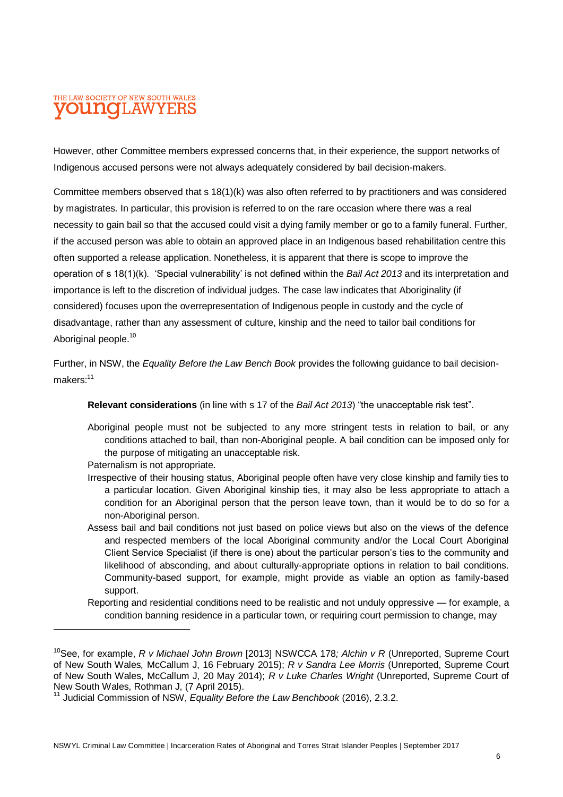#### THE LAW SOCIETY OF NEW SOUTH WALES **OUINCILAW**

However, other Committee members expressed concerns that, in their experience, the support networks of Indigenous accused persons were not always adequately considered by bail decision-makers.

Committee members observed that s 18(1)(k) was also often referred to by practitioners and was considered by magistrates. In particular, this provision is referred to on the rare occasion where there was a real necessity to gain bail so that the accused could visit a dying family member or go to a family funeral. Further, if the accused person was able to obtain an approved place in an Indigenous based rehabilitation centre this often supported a release application. Nonetheless, it is apparent that there is scope to improve the operation of s 18(1)(k). 'Special vulnerability' is not defined within the *Bail Act 2013* and its interpretation and importance is left to the discretion of individual judges. The case law indicates that Aboriginality (if considered) focuses upon the overrepresentation of Indigenous people in custody and the cycle of disadvantage, rather than any assessment of culture, kinship and the need to tailor bail conditions for Aboriginal people.<sup>10</sup>

Further, in NSW, the *Equality Before the Law Bench Book* provides the following guidance to bail decisionmakers:<sup>11</sup>

**Relevant considerations** (in line with s 17 of the *Bail Act 2013*) "the unacceptable risk test".

Aboriginal people must not be subjected to any more stringent tests in relation to bail, or any conditions attached to bail, than non-Aboriginal people. A bail condition can be imposed only for the purpose of mitigating an unacceptable risk.

Paternalism is not appropriate.

- Irrespective of their housing status, Aboriginal people often have very close kinship and family ties to a particular location. Given Aboriginal kinship ties, it may also be less appropriate to attach a condition for an Aboriginal person that the person leave town, than it would be to do so for a non-Aboriginal person.
- Assess bail and bail conditions not just based on police views but also on the views of the defence and respected members of the local Aboriginal community and/or the Local Court Aboriginal Client Service Specialist (if there is one) about the particular person's ties to the community and likelihood of absconding, and about culturally-appropriate options in relation to bail conditions. Community-based support, for example, might provide as viable an option as family-based support.
- Reporting and residential conditions need to be realistic and not unduly oppressive for example, a condition banning residence in a particular town, or requiring court permission to change, may

<sup>10</sup>See, for example, *R v Michael John Brown* [2013] NSWCCA 178*; Alchin v R* (Unreported, Supreme Court of New South Wales*,* McCallum J, 16 February 2015); *R v Sandra Lee Morris* (Unreported, Supreme Court of New South Wales, McCallum J, 20 May 2014); *R v Luke Charles Wright* (Unreported, Supreme Court of New South Wales, Rothman J, (7 April 2015).

<sup>11</sup> Judicial Commission of NSW, *Equality Before the Law Benchbook* (2016), 2.3.2.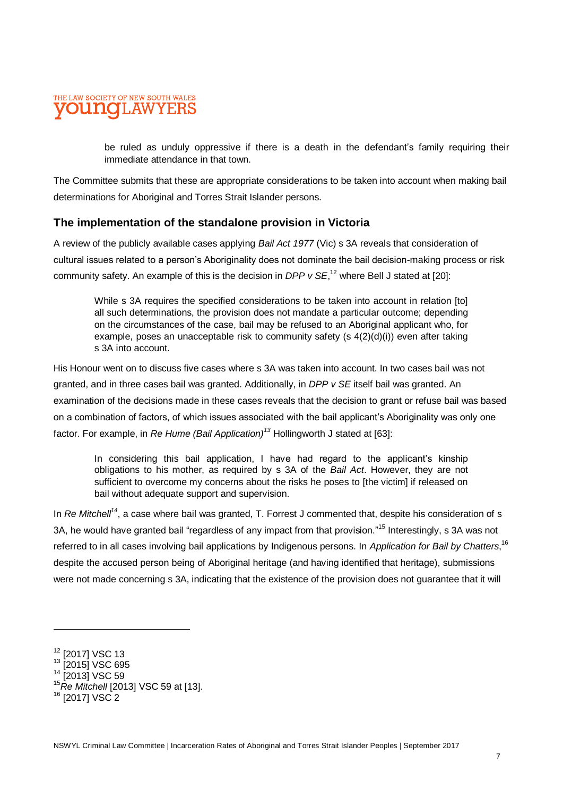#### THE LAW SOCIETY OF NEW SOUTH WALES ouno 'LAW

be ruled as unduly oppressive if there is a death in the defendant's family requiring their immediate attendance in that town.

The Committee submits that these are appropriate considerations to be taken into account when making bail determinations for Aboriginal and Torres Strait Islander persons.

#### **The implementation of the standalone provision in Victoria**

A review of the publicly available cases applying *Bail Act 1977* (Vic) s 3A reveals that consideration of cultural issues related to a person's Aboriginality does not dominate the bail decision-making process or risk community safety. An example of this is the decision in *DPP v SE*,<sup>12</sup> where Bell J stated at [20]:

While s 3A requires the specified considerations to be taken into account in relation [to] all such determinations, the provision does not mandate a particular outcome; depending on the circumstances of the case, bail may be refused to an Aboriginal applicant who, for example, poses an unacceptable risk to community safety (s 4(2)(d)(i)) even after taking s 3A into account.

His Honour went on to discuss five cases where s 3A was taken into account. In two cases bail was not granted, and in three cases bail was granted. Additionally, in *DPP v SE* itself bail was granted. An examination of the decisions made in these cases reveals that the decision to grant or refuse bail was based on a combination of factors, of which issues associated with the bail applicant's Aboriginality was only one factor. For example, in *Re Hume (Bail Application)<sup>13</sup>* Hollingworth J stated at [63]:

In considering this bail application, I have had regard to the applicant's kinship obligations to his mother, as required by s 3A of the *Bail Act*. However, they are not sufficient to overcome my concerns about the risks he poses to [the victim] if released on bail without adequate support and supervision.

In *Re Mitchell<sup>14</sup>*, a case where bail was granted, T. Forrest J commented that, despite his consideration of s 3A, he would have granted bail "regardless of any impact from that provision."<sup>15</sup> Interestingly, s 3A was not referred to in all cases involving bail applications by Indigenous persons. In *Application for Bail by Chatters*, 16 despite the accused person being of Aboriginal heritage (and having identified that heritage), submissions were not made concerning s 3A, indicating that the existence of the provision does not guarantee that it will

<sup>&</sup>lt;sup>12</sup> [2017] VSC 13

<sup>&</sup>lt;sup>13</sup> [2015] VSC 695

<sup>&</sup>lt;sup>14</sup> [2013] VSC 59

<sup>15</sup>*Re Mitchell* [2013] VSC 59 at [13].

<sup>16</sup> [2017] VSC 2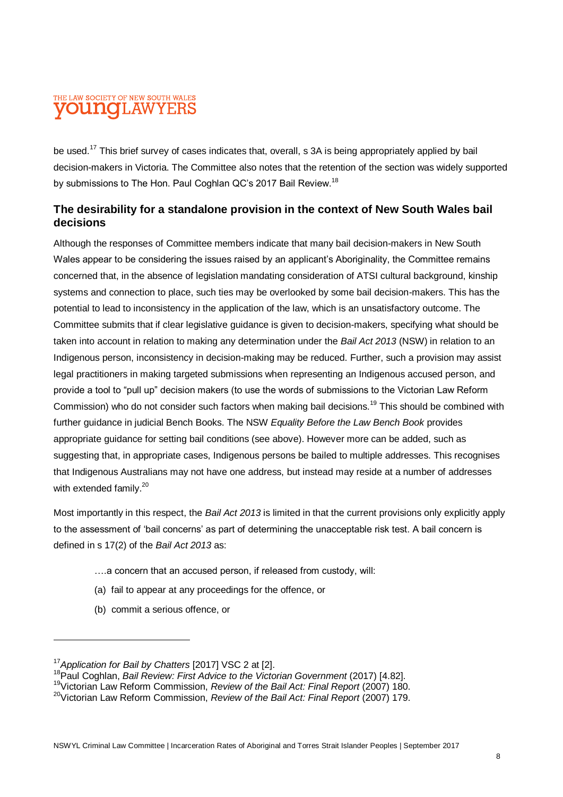#### THE LAW SOCIETY OF NEW SOUTH WALES **OUNOI.AWYEF**

be used.<sup>17</sup> This brief survey of cases indicates that, overall, s 3A is being appropriately applied by bail decision-makers in Victoria. The Committee also notes that the retention of the section was widely supported by submissions to The Hon. Paul Coghlan QC's 2017 Bail Review.<sup>18</sup>

#### **The desirability for a standalone provision in the context of New South Wales bail decisions**

Although the responses of Committee members indicate that many bail decision-makers in New South Wales appear to be considering the issues raised by an applicant's Aboriginality, the Committee remains concerned that, in the absence of legislation mandating consideration of ATSI cultural background, kinship systems and connection to place, such ties may be overlooked by some bail decision-makers. This has the potential to lead to inconsistency in the application of the law, which is an unsatisfactory outcome. The Committee submits that if clear legislative guidance is given to decision-makers, specifying what should be taken into account in relation to making any determination under the *Bail Act 2013* (NSW) in relation to an Indigenous person, inconsistency in decision-making may be reduced. Further, such a provision may assist legal practitioners in making targeted submissions when representing an Indigenous accused person, and provide a tool to "pull up" decision makers (to use the words of submissions to the Victorian Law Reform Commission) who do not consider such factors when making bail decisions.<sup>19</sup> This should be combined with further guidance in judicial Bench Books. The NSW *Equality Before the Law Bench Book* provides appropriate guidance for setting bail conditions (see above). However more can be added, such as suggesting that, in appropriate cases, Indigenous persons be bailed to multiple addresses. This recognises that Indigenous Australians may not have one address, but instead may reside at a number of addresses with extended family.<sup>20</sup>

Most importantly in this respect, the *Bail Act 2013* is limited in that the current provisions only explicitly apply to the assessment of 'bail concerns' as part of determining the unacceptable risk test. A bail concern is defined in s 17(2) of the *Bail Act 2013* as:

- ….a concern that an accused person, if released from custody, will:
- (a) fail to appear at any proceedings for the offence, or
- (b) commit a serious offence, or

<sup>17</sup>*Application for Bail by Chatters* [2017] VSC 2 at [2].

<sup>&</sup>lt;sup>18</sup> Paul Coghlan, *Bail Review: First Advice to the Victorian Government* (2017) [4.82].

<sup>19</sup>Victorian Law Reform Commission, *Review of the Bail Act: Final Report* (2007) 180.

<sup>20</sup>Victorian Law Reform Commission, *Review of the Bail Act: Final Report* (2007) 179.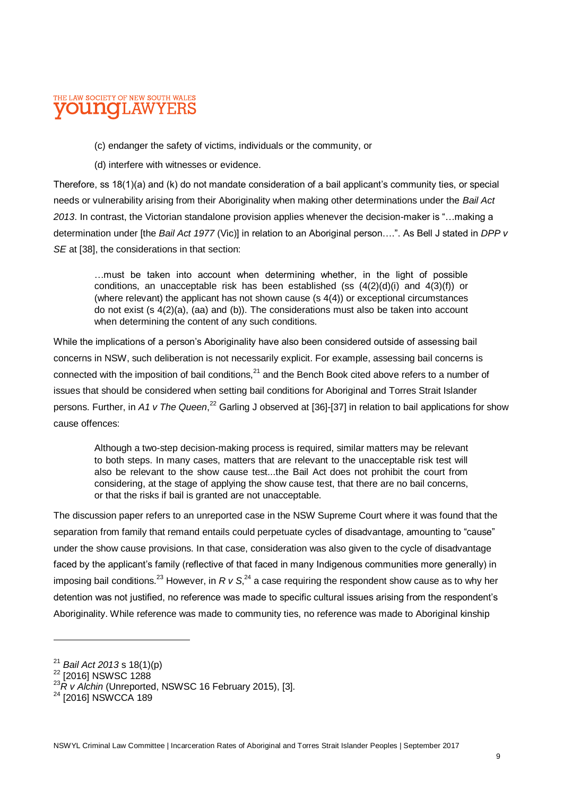#### THE LAW SOCIETY OF NEW SOUTH WALES **LAWYER**

(c) endanger the safety of victims, individuals or the community, or

(d) interfere with witnesses or evidence.

Therefore, ss 18(1)(a) and (k) do not mandate consideration of a bail applicant's community ties, or special needs or vulnerability arising from their Aboriginality when making other determinations under the *Bail Act 2013*. In contrast, the Victorian standalone provision applies whenever the decision-maker is "…making a determination under [the *Bail Act 1977* (Vic)] in relation to an Aboriginal person….". As Bell J stated in *DPP v SE* at [38], the considerations in that section:

…must be taken into account when determining whether, in the light of possible conditions, an unacceptable risk has been established (ss  $(4(2)(d)(i)$  and  $4(3)(f)$ ) or (where relevant) the applicant has not shown cause (s 4(4)) or exceptional circumstances do not exist (s 4(2)(a), (aa) and (b)). The considerations must also be taken into account when determining the content of any such conditions.

While the implications of a person's Aboriginality have also been considered outside of assessing bail concerns in NSW, such deliberation is not necessarily explicit. For example, assessing bail concerns is connected with the imposition of bail conditions, $^{21}$  and the Bench Book cited above refers to a number of issues that should be considered when setting bail conditions for Aboriginal and Torres Strait Islander persons. Further, in *A1 v The Queen*, <sup>22</sup> Garling J observed at [36]-[37] in relation to bail applications for show cause offences:

Although a two-step decision-making process is required, similar matters may be relevant to both steps. In many cases, matters that are relevant to the unacceptable risk test will also be relevant to the show cause test...the Bail Act does not prohibit the court from considering, at the stage of applying the show cause test, that there are no bail concerns, or that the risks if bail is granted are not unacceptable.

The discussion paper refers to an unreported case in the NSW Supreme Court where it was found that the separation from family that remand entails could perpetuate cycles of disadvantage, amounting to "cause" under the show cause provisions. In that case, consideration was also given to the cycle of disadvantage faced by the applicant's family (reflective of that faced in many Indigenous communities more generally) in imposing bail conditions.<sup>23</sup> However, in R v S,<sup>24</sup> a case requiring the respondent show cause as to why her detention was not justified, no reference was made to specific cultural issues arising from the respondent's Aboriginality. While reference was made to community ties, no reference was made to Aboriginal kinship

<sup>21</sup> *Bail Act 2013* s 18(1)(p)

<sup>&</sup>lt;sup>22</sup> [2016] NSWSC 1288

<sup>23</sup>*R v Alchin* (Unreported, NSWSC 16 February 2015), [3].

<sup>&</sup>lt;sup>24</sup> [2016] NSWCCA 189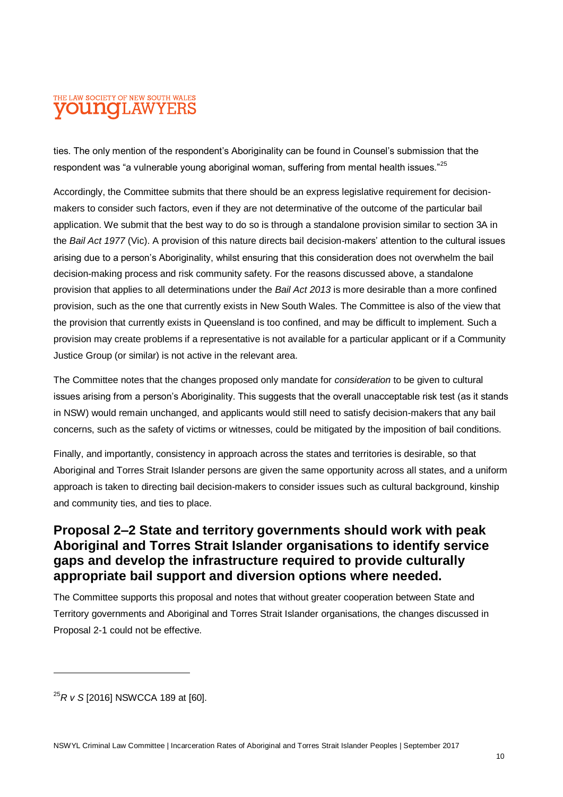#### THE LAW SOCIETY OF NEW SOUTH WALES **OUNCLAWYERS**

ties. The only mention of the respondent's Aboriginality can be found in Counsel's submission that the respondent was "a vulnerable young aboriginal woman, suffering from mental health issues."<sup>25</sup>

Accordingly, the Committee submits that there should be an express legislative requirement for decisionmakers to consider such factors, even if they are not determinative of the outcome of the particular bail application. We submit that the best way to do so is through a standalone provision similar to section 3A in the *Bail Act 1977* (Vic). A provision of this nature directs bail decision-makers' attention to the cultural issues arising due to a person's Aboriginality, whilst ensuring that this consideration does not overwhelm the bail decision-making process and risk community safety. For the reasons discussed above, a standalone provision that applies to all determinations under the *Bail Act 2013* is more desirable than a more confined provision, such as the one that currently exists in New South Wales. The Committee is also of the view that the provision that currently exists in Queensland is too confined, and may be difficult to implement. Such a provision may create problems if a representative is not available for a particular applicant or if a Community Justice Group (or similar) is not active in the relevant area.

The Committee notes that the changes proposed only mandate for *consideration* to be given to cultural issues arising from a person's Aboriginality. This suggests that the overall unacceptable risk test (as it stands in NSW) would remain unchanged, and applicants would still need to satisfy decision-makers that any bail concerns, such as the safety of victims or witnesses, could be mitigated by the imposition of bail conditions.

Finally, and importantly, consistency in approach across the states and territories is desirable, so that Aboriginal and Torres Strait Islander persons are given the same opportunity across all states, and a uniform approach is taken to directing bail decision-makers to consider issues such as cultural background, kinship and community ties, and ties to place.

#### **Proposal 2–2 State and territory governments should work with peak Aboriginal and Torres Strait Islander organisations to identify service gaps and develop the infrastructure required to provide culturally appropriate bail support and diversion options where needed.**

The Committee supports this proposal and notes that without greater cooperation between State and Territory governments and Aboriginal and Torres Strait Islander organisations, the changes discussed in Proposal 2-1 could not be effective.

 $\overline{a}$ 

<sup>25</sup>*R v S* [2016] NSWCCA 189 at [60].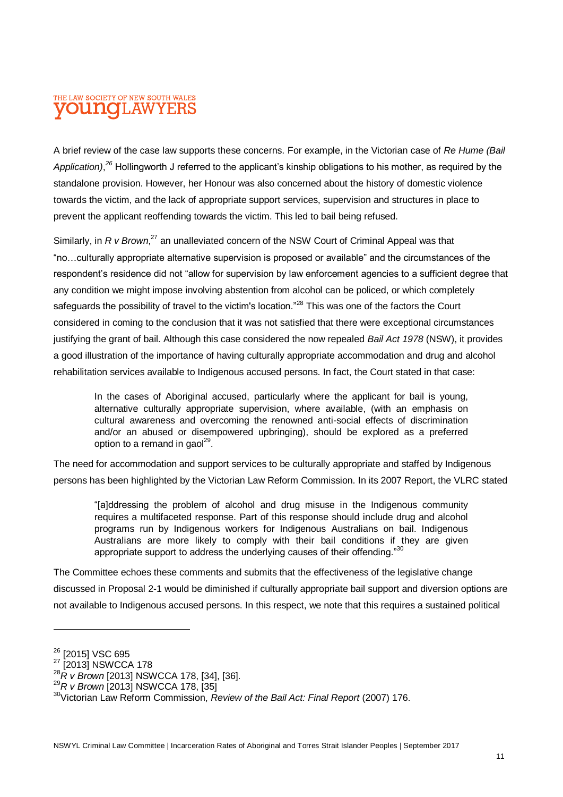#### THE LAW SOCIETY OF NEW SOUTH WALES **OUINCILAW**

A brief review of the case law supports these concerns. For example, in the Victorian case of *Re Hume (Bail*  Application),<sup>26</sup> Hollingworth J referred to the applicant's kinship obligations to his mother, as required by the standalone provision. However, her Honour was also concerned about the history of domestic violence towards the victim, and the lack of appropriate support services, supervision and structures in place to prevent the applicant reoffending towards the victim. This led to bail being refused.

Similarly, in *R v Brown*,<sup>27</sup> an unalleviated concern of the NSW Court of Criminal Appeal was that "no…culturally appropriate alternative supervision is proposed or available" and the circumstances of the respondent's residence did not "allow for supervision by law enforcement agencies to a sufficient degree that any condition we might impose involving abstention from alcohol can be policed, or which completely safeguards the possibility of travel to the victim's location."<sup>28</sup> This was one of the factors the Court considered in coming to the conclusion that it was not satisfied that there were exceptional circumstances justifying the grant of bail. Although this case considered the now repealed *Bail Act 1978* (NSW), it provides a good illustration of the importance of having culturally appropriate accommodation and drug and alcohol rehabilitation services available to Indigenous accused persons. In fact, the Court stated in that case:

In the cases of Aboriginal accused, particularly where the applicant for bail is young, alternative culturally appropriate supervision, where available, (with an emphasis on cultural awareness and overcoming the renowned anti-social effects of discrimination and/or an abused or disempowered upbringing), should be explored as a preferred option to a remand in gaol<sup>29</sup>.

The need for accommodation and support services to be culturally appropriate and staffed by Indigenous persons has been highlighted by the Victorian Law Reform Commission. In its 2007 Report, the VLRC stated

"[a]ddressing the problem of alcohol and drug misuse in the Indigenous community requires a multifaceted response. Part of this response should include drug and alcohol programs run by Indigenous workers for Indigenous Australians on bail. Indigenous Australians are more likely to comply with their bail conditions if they are given appropriate support to address the underlying causes of their offending."30

The Committee echoes these comments and submits that the effectiveness of the legislative change discussed in Proposal 2-1 would be diminished if culturally appropriate bail support and diversion options are not available to Indigenous accused persons. In this respect, we note that this requires a sustained political

<sup>&</sup>lt;sup>26</sup> [2015] VSC 695

<sup>27 [2013]</sup> NSWCCA 178

<sup>28&</sup>lt;br>*<sup>28</sup>R v Brown* [2013] NSWCCA 178, [34], [36].

<sup>29</sup>*R v Brown* [2013] NSWCCA 178, [35]

<sup>30</sup>Victorian Law Reform Commission, *Review of the Bail Act: Final Report* (2007) 176.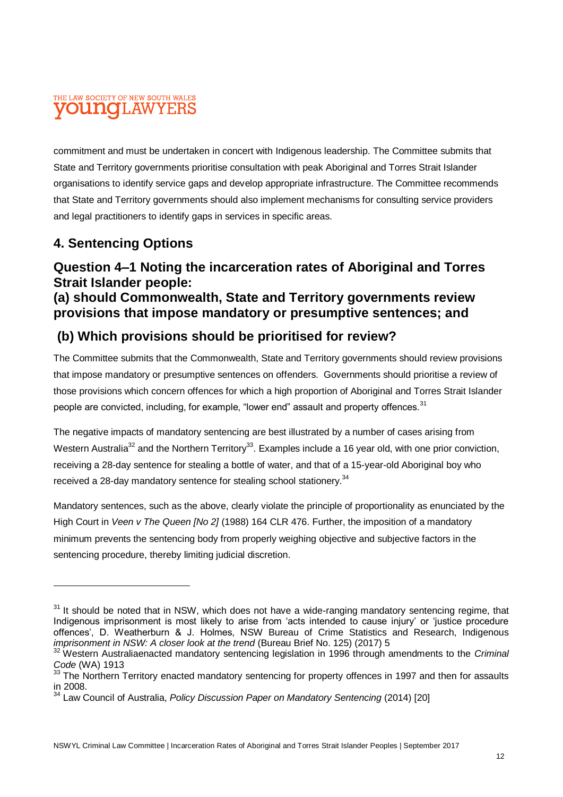#### THE LAW SOCIETY OF NEW SOUTH WALES **OUINCILAW**

commitment and must be undertaken in concert with Indigenous leadership. The Committee submits that State and Territory governments prioritise consultation with peak Aboriginal and Torres Strait Islander organisations to identify service gaps and develop appropriate infrastructure. The Committee recommends that State and Territory governments should also implement mechanisms for consulting service providers and legal practitioners to identify gaps in services in specific areas.

# **4. Sentencing Options**

#### **Question 4–1 Noting the incarceration rates of Aboriginal and Torres Strait Islander people: (a) should Commonwealth, State and Territory governments review**

# **provisions that impose mandatory or presumptive sentences; and**

# **(b) Which provisions should be prioritised for review?**

The Committee submits that the Commonwealth, State and Territory governments should review provisions that impose mandatory or presumptive sentences on offenders. Governments should prioritise a review of those provisions which concern offences for which a high proportion of Aboriginal and Torres Strait Islander people are convicted, including, for example, "lower end" assault and property offences.<sup>31</sup>

The negative impacts of mandatory sentencing are best illustrated by a number of cases arising from Western Australia<sup>32</sup> and the Northern Territory<sup>33</sup>. Examples include a 16 year old, with one prior conviction, receiving a 28-day sentence for stealing a bottle of water, and that of a 15-year-old Aboriginal boy who received a 28-day mandatory sentence for stealing school stationery.<sup>34</sup>

Mandatory sentences, such as the above, clearly violate the principle of proportionality as enunciated by the High Court in *Veen v The Queen [No 2]* (1988) 164 CLR 476. Further, the imposition of a mandatory minimum prevents the sentencing body from properly weighing objective and subjective factors in the sentencing procedure, thereby limiting judicial discretion.

 $31$  It should be noted that in NSW, which does not have a wide-ranging mandatory sentencing regime, that Indigenous imprisonment is most likely to arise from 'acts intended to cause injury' or 'justice procedure offences', D. Weatherburn & J. Holmes, NSW Bureau of Crime Statistics and Research, Indigenous *imprisonment in NSW: A closer look at the trend* (Bureau Brief No. 125) (2017) 5

<sup>32</sup> Western Australiaenacted mandatory sentencing legislation in 1996 through amendments to the *Criminal Code* (WA) 1913

<sup>33</sup> The Northern Territory enacted mandatory sentencing for property offences in 1997 and then for assaults in 2008.

<sup>34</sup> Law Council of Australia, *Policy Discussion Paper on Mandatory Sentencing* (2014) [20]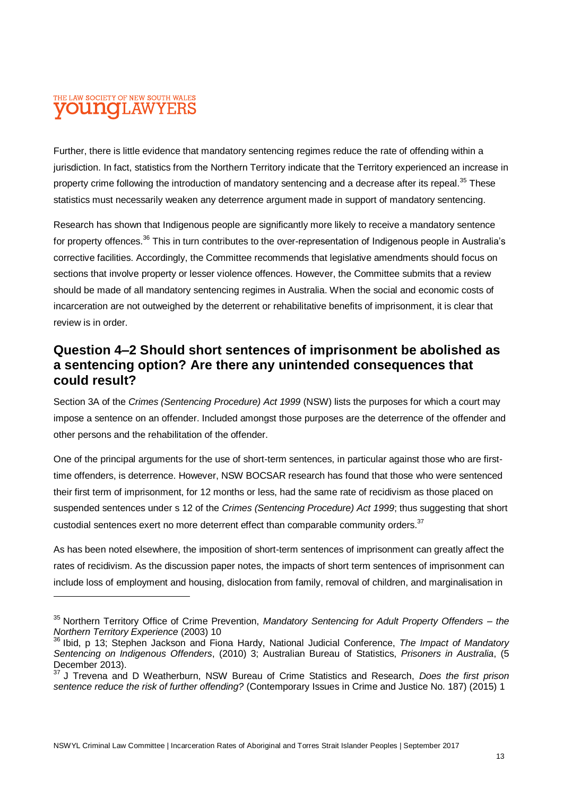#### THE LAW SOCIETY OF NEW SOUTH WALES **OUINCILAW** YEF

Further, there is little evidence that mandatory sentencing regimes reduce the rate of offending within a jurisdiction. In fact, statistics from the Northern Territory indicate that the Territory experienced an increase in property crime following the introduction of mandatory sentencing and a decrease after its repeal.<sup>35</sup> These statistics must necessarily weaken any deterrence argument made in support of mandatory sentencing.

Research has shown that Indigenous people are significantly more likely to receive a mandatory sentence for property offences.<sup>36</sup> This in turn contributes to the over-representation of Indigenous people in Australia's corrective facilities. Accordingly, the Committee recommends that legislative amendments should focus on sections that involve property or lesser violence offences. However, the Committee submits that a review should be made of all mandatory sentencing regimes in Australia. When the social and economic costs of incarceration are not outweighed by the deterrent or rehabilitative benefits of imprisonment, it is clear that review is in order.

#### **Question 4–2 Should short sentences of imprisonment be abolished as a sentencing option? Are there any unintended consequences that could result?**

Section 3A of the *Crimes (Sentencing Procedure) Act 1999* (NSW) lists the purposes for which a court may impose a sentence on an offender. Included amongst those purposes are the deterrence of the offender and other persons and the rehabilitation of the offender.

One of the principal arguments for the use of short-term sentences, in particular against those who are firsttime offenders, is deterrence. However, NSW BOCSAR research has found that those who were sentenced their first term of imprisonment, for 12 months or less, had the same rate of recidivism as those placed on suspended sentences under s 12 of the *Crimes (Sentencing Procedure) Act 1999*; thus suggesting that short custodial sentences exert no more deterrent effect than comparable community orders.<sup>37</sup>

As has been noted elsewhere, the imposition of short-term sentences of imprisonment can greatly affect the rates of recidivism. As the discussion paper notes, the impacts of short term sentences of imprisonment can include loss of employment and housing, dislocation from family, removal of children, and marginalisation in

<sup>35</sup> Northern Territory Office of Crime Prevention, *Mandatory Sentencing for Adult Property Offenders – the Northern Territory Experience* (2003) 10

<sup>36</sup> Ibid, p 13; Stephen Jackson and Fiona Hardy, National Judicial Conference, *The Impact of Mandatory Sentencing on Indigenous Offenders*, (2010) 3; Australian Bureau of Statistics, *Prisoners in Australia*, (5 December 2013).

<sup>37</sup> J Trevena and D Weatherburn, NSW Bureau of Crime Statistics and Research, *Does the first prison sentence reduce the risk of further offending?* (Contemporary Issues in Crime and Justice No. 187) (2015) 1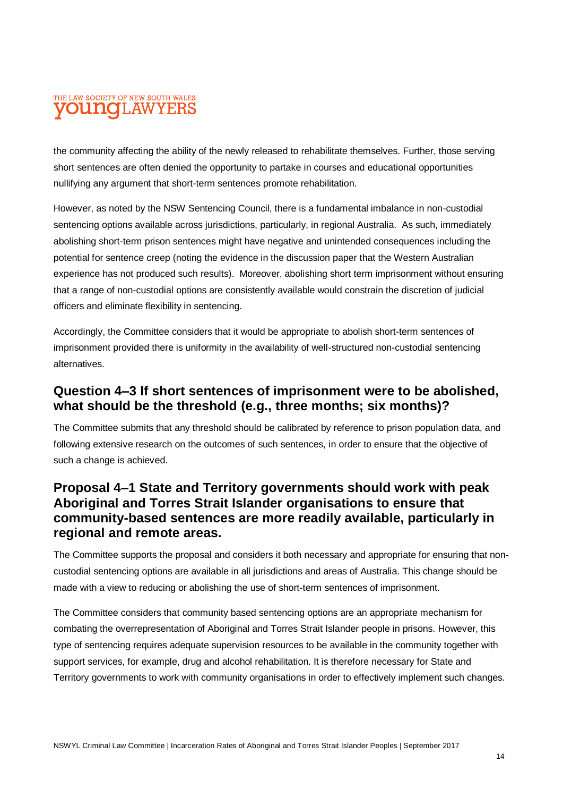#### THE LAW SOCIETY OF NEW SOUTH WALES **OUNOLAWYERS**

the community affecting the ability of the newly released to rehabilitate themselves. Further, those serving short sentences are often denied the opportunity to partake in courses and educational opportunities nullifying any argument that short-term sentences promote rehabilitation.

However, as noted by the NSW Sentencing Council, there is a fundamental imbalance in non-custodial sentencing options available across jurisdictions, particularly, in regional Australia. As such, immediately abolishing short-term prison sentences might have negative and unintended consequences including the potential for sentence creep (noting the evidence in the discussion paper that the Western Australian experience has not produced such results). Moreover, abolishing short term imprisonment without ensuring that a range of non-custodial options are consistently available would constrain the discretion of judicial officers and eliminate flexibility in sentencing.

Accordingly, the Committee considers that it would be appropriate to abolish short-term sentences of imprisonment provided there is uniformity in the availability of well-structured non-custodial sentencing alternatives.

#### **Question 4–3 If short sentences of imprisonment were to be abolished, what should be the threshold (e.g., three months; six months)?**

The Committee submits that any threshold should be calibrated by reference to prison population data, and following extensive research on the outcomes of such sentences, in order to ensure that the objective of such a change is achieved.

#### **Proposal 4–1 State and Territory governments should work with peak Aboriginal and Torres Strait Islander organisations to ensure that community-based sentences are more readily available, particularly in regional and remote areas.**

The Committee supports the proposal and considers it both necessary and appropriate for ensuring that noncustodial sentencing options are available in all jurisdictions and areas of Australia. This change should be made with a view to reducing or abolishing the use of short-term sentences of imprisonment.

The Committee considers that community based sentencing options are an appropriate mechanism for combating the overrepresentation of Aboriginal and Torres Strait Islander people in prisons. However, this type of sentencing requires adequate supervision resources to be available in the community together with support services, for example, drug and alcohol rehabilitation. It is therefore necessary for State and Territory governments to work with community organisations in order to effectively implement such changes.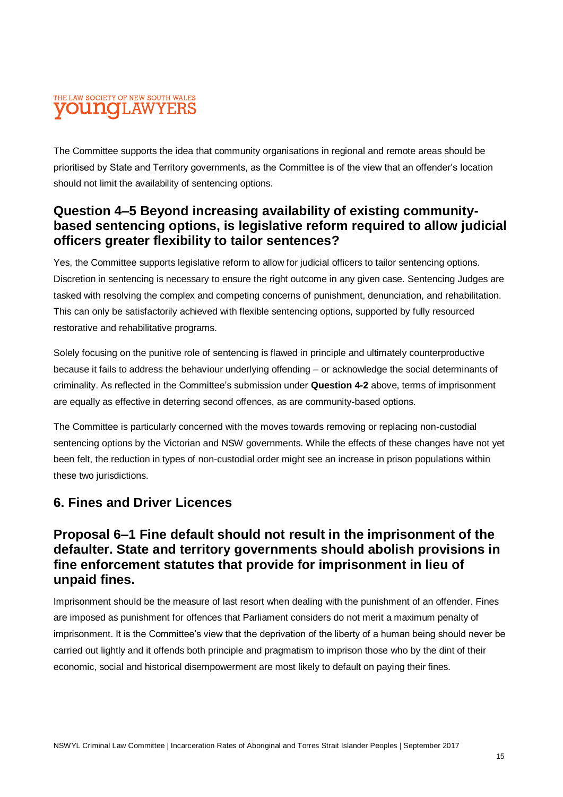#### THE LAW SOCIETY OF NEW SOUTH WALES **OUNOLAWYERS**

The Committee supports the idea that community organisations in regional and remote areas should be prioritised by State and Territory governments, as the Committee is of the view that an offender's location should not limit the availability of sentencing options.

#### **Question 4–5 Beyond increasing availability of existing communitybased sentencing options, is legislative reform required to allow judicial officers greater flexibility to tailor sentences?**

Yes, the Committee supports legislative reform to allow for judicial officers to tailor sentencing options. Discretion in sentencing is necessary to ensure the right outcome in any given case. Sentencing Judges are tasked with resolving the complex and competing concerns of punishment, denunciation, and rehabilitation. This can only be satisfactorily achieved with flexible sentencing options, supported by fully resourced restorative and rehabilitative programs.

Solely focusing on the punitive role of sentencing is flawed in principle and ultimately counterproductive because it fails to address the behaviour underlying offending – or acknowledge the social determinants of criminality. As reflected in the Committee's submission under **Question 4-2** above, terms of imprisonment are equally as effective in deterring second offences, as are community-based options.

The Committee is particularly concerned with the moves towards removing or replacing non-custodial sentencing options by the Victorian and NSW governments. While the effects of these changes have not yet been felt, the reduction in types of non-custodial order might see an increase in prison populations within these two jurisdictions.

# **6. Fines and Driver Licences**

#### **Proposal 6–1 Fine default should not result in the imprisonment of the defaulter. State and territory governments should abolish provisions in fine enforcement statutes that provide for imprisonment in lieu of unpaid fines.**

Imprisonment should be the measure of last resort when dealing with the punishment of an offender. Fines are imposed as punishment for offences that Parliament considers do not merit a maximum penalty of imprisonment. It is the Committee's view that the deprivation of the liberty of a human being should never be carried out lightly and it offends both principle and pragmatism to imprison those who by the dint of their economic, social and historical disempowerment are most likely to default on paying their fines.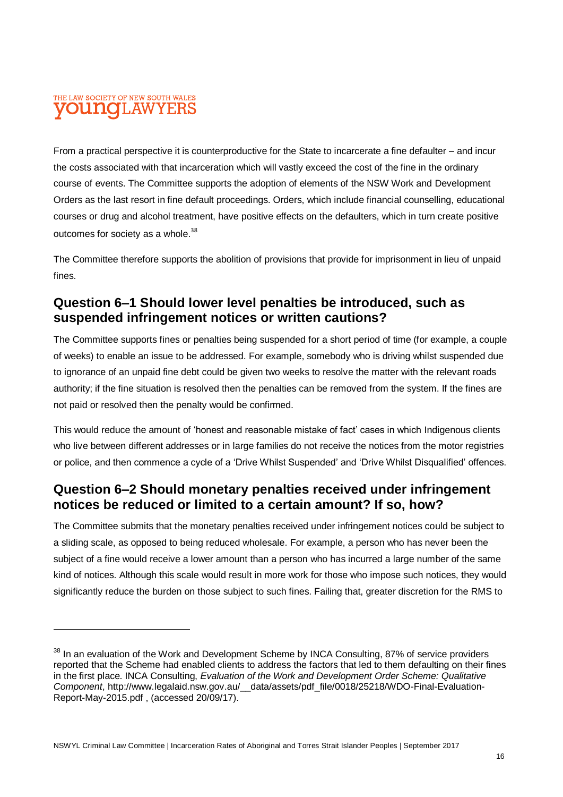#### THE LAW SOCIETY OF NEW SOUTH WALES **OUINOLAW**

From a practical perspective it is counterproductive for the State to incarcerate a fine defaulter – and incur the costs associated with that incarceration which will vastly exceed the cost of the fine in the ordinary course of events. The Committee supports the adoption of elements of the NSW Work and Development Orders as the last resort in fine default proceedings. Orders, which include financial counselling, educational courses or drug and alcohol treatment, have positive effects on the defaulters, which in turn create positive outcomes for society as a whole.<sup>38</sup>

The Committee therefore supports the abolition of provisions that provide for imprisonment in lieu of unpaid fines.

#### **Question 6–1 Should lower level penalties be introduced, such as suspended infringement notices or written cautions?**

The Committee supports fines or penalties being suspended for a short period of time (for example, a couple of weeks) to enable an issue to be addressed. For example, somebody who is driving whilst suspended due to ignorance of an unpaid fine debt could be given two weeks to resolve the matter with the relevant roads authority; if the fine situation is resolved then the penalties can be removed from the system. If the fines are not paid or resolved then the penalty would be confirmed.

This would reduce the amount of 'honest and reasonable mistake of fact' cases in which Indigenous clients who live between different addresses or in large families do not receive the notices from the motor registries or police, and then commence a cycle of a 'Drive Whilst Suspended' and 'Drive Whilst Disqualified' offences.

#### **Question 6–2 Should monetary penalties received under infringement notices be reduced or limited to a certain amount? If so, how?**

The Committee submits that the monetary penalties received under infringement notices could be subject to a sliding scale, as opposed to being reduced wholesale. For example, a person who has never been the subject of a fine would receive a lower amount than a person who has incurred a large number of the same kind of notices. Although this scale would result in more work for those who impose such notices, they would significantly reduce the burden on those subject to such fines. Failing that, greater discretion for the RMS to

 $38$  In an evaluation of the Work and Development Scheme by INCA Consulting, 87% of service providers reported that the Scheme had enabled clients to address the factors that led to them defaulting on their fines in the first place. INCA Consulting, *Evaluation of the Work and Development Order Scheme: Qualitative Component*, http://www.legalaid.nsw.gov.au/\_\_data/assets/pdf\_file/0018/25218/WDO-Final-Evaluation-Report-May-2015.pdf , (accessed 20/09/17).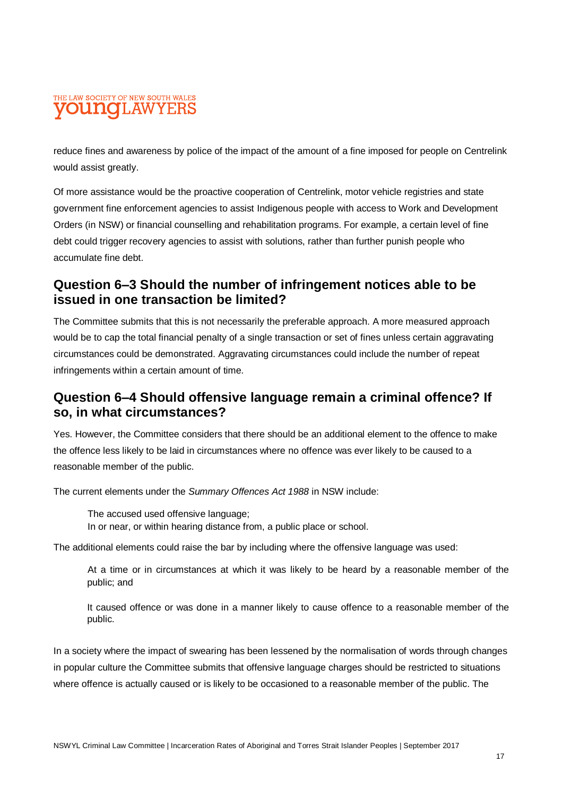#### THE LAW SOCIETY OF NEW SOUTH WALES **OUNOI.AWYEF**

reduce fines and awareness by police of the impact of the amount of a fine imposed for people on Centrelink would assist greatly.

Of more assistance would be the proactive cooperation of Centrelink, motor vehicle registries and state government fine enforcement agencies to assist Indigenous people with access to Work and Development Orders (in NSW) or financial counselling and rehabilitation programs. For example, a certain level of fine debt could trigger recovery agencies to assist with solutions, rather than further punish people who accumulate fine debt.

#### **Question 6–3 Should the number of infringement notices able to be issued in one transaction be limited?**

The Committee submits that this is not necessarily the preferable approach. A more measured approach would be to cap the total financial penalty of a single transaction or set of fines unless certain aggravating circumstances could be demonstrated. Aggravating circumstances could include the number of repeat infringements within a certain amount of time.

#### **Question 6–4 Should offensive language remain a criminal offence? If so, in what circumstances?**

Yes. However, the Committee considers that there should be an additional element to the offence to make the offence less likely to be laid in circumstances where no offence was ever likely to be caused to a reasonable member of the public.

The current elements under the *Summary Offences Act 1988* in NSW include:

The accused used offensive language; In or near, or within hearing distance from, a public place or school.

The additional elements could raise the bar by including where the offensive language was used:

At a time or in circumstances at which it was likely to be heard by a reasonable member of the public; and

It caused offence or was done in a manner likely to cause offence to a reasonable member of the public.

In a society where the impact of swearing has been lessened by the normalisation of words through changes in popular culture the Committee submits that offensive language charges should be restricted to situations where offence is actually caused or is likely to be occasioned to a reasonable member of the public. The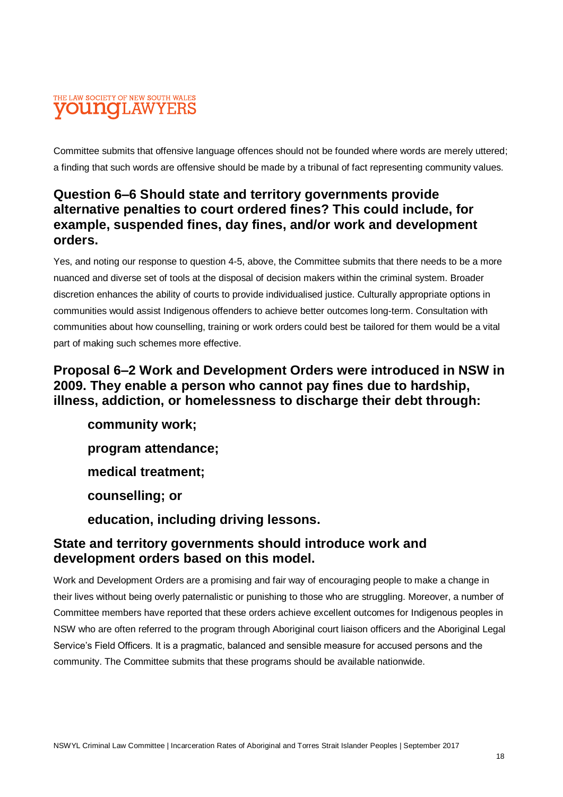#### THE LAW SOCIETY OF NEW SOUTH WALES **VOUNOLAWYERS**

Committee submits that offensive language offences should not be founded where words are merely uttered; a finding that such words are offensive should be made by a tribunal of fact representing community values.

#### **Question 6–6 Should state and territory governments provide alternative penalties to court ordered fines? This could include, for example, suspended fines, day fines, and/or work and development orders.**

Yes, and noting our response to question 4-5, above, the Committee submits that there needs to be a more nuanced and diverse set of tools at the disposal of decision makers within the criminal system. Broader discretion enhances the ability of courts to provide individualised justice. Culturally appropriate options in communities would assist Indigenous offenders to achieve better outcomes long-term. Consultation with communities about how counselling, training or work orders could best be tailored for them would be a vital part of making such schemes more effective.

#### **Proposal 6–2 Work and Development Orders were introduced in NSW in 2009. They enable a person who cannot pay fines due to hardship, illness, addiction, or homelessness to discharge their debt through:**

**community work; program attendance; medical treatment; counselling; or education, including driving lessons.**

#### **State and territory governments should introduce work and development orders based on this model.**

Work and Development Orders are a promising and fair way of encouraging people to make a change in their lives without being overly paternalistic or punishing to those who are struggling. Moreover, a number of Committee members have reported that these orders achieve excellent outcomes for Indigenous peoples in NSW who are often referred to the program through Aboriginal court liaison officers and the Aboriginal Legal Service's Field Officers. It is a pragmatic, balanced and sensible measure for accused persons and the community. The Committee submits that these programs should be available nationwide.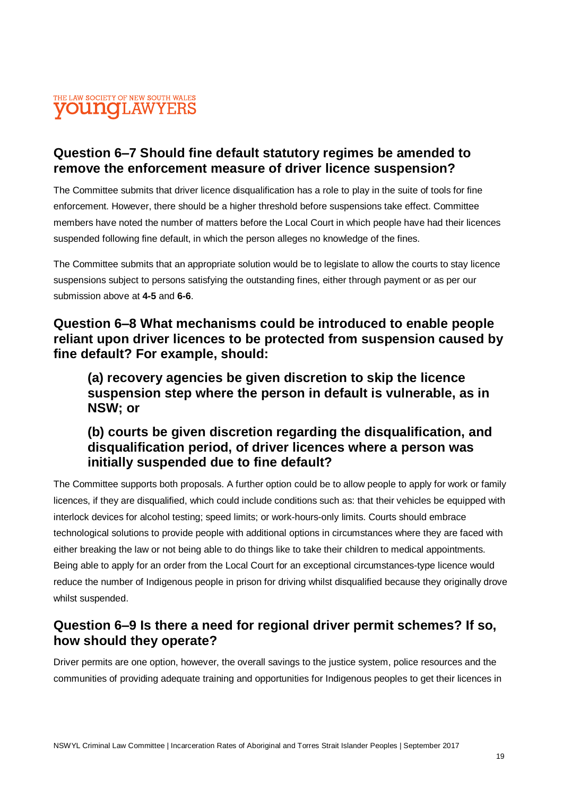#### THE LAW SOCIETY OF NEW SOUTH WALES **VOUNCLAWYERS**

#### **Question 6–7 Should fine default statutory regimes be amended to remove the enforcement measure of driver licence suspension?**

The Committee submits that driver licence disqualification has a role to play in the suite of tools for fine enforcement. However, there should be a higher threshold before suspensions take effect. Committee members have noted the number of matters before the Local Court in which people have had their licences suspended following fine default, in which the person alleges no knowledge of the fines.

The Committee submits that an appropriate solution would be to legislate to allow the courts to stay licence suspensions subject to persons satisfying the outstanding fines, either through payment or as per our submission above at **4-5** and **6-6**.

#### **Question 6–8 What mechanisms could be introduced to enable people reliant upon driver licences to be protected from suspension caused by fine default? For example, should:**

**(a) recovery agencies be given discretion to skip the licence suspension step where the person in default is vulnerable, as in NSW; or**

#### **(b) courts be given discretion regarding the disqualification, and disqualification period, of driver licences where a person was initially suspended due to fine default?**

The Committee supports both proposals. A further option could be to allow people to apply for work or family licences, if they are disqualified, which could include conditions such as: that their vehicles be equipped with interlock devices for alcohol testing; speed limits; or work-hours-only limits. Courts should embrace technological solutions to provide people with additional options in circumstances where they are faced with either breaking the law or not being able to do things like to take their children to medical appointments. Being able to apply for an order from the Local Court for an exceptional circumstances-type licence would reduce the number of Indigenous people in prison for driving whilst disqualified because they originally drove whilst suspended.

#### **Question 6–9 Is there a need for regional driver permit schemes? If so, how should they operate?**

Driver permits are one option, however, the overall savings to the justice system, police resources and the communities of providing adequate training and opportunities for Indigenous peoples to get their licences in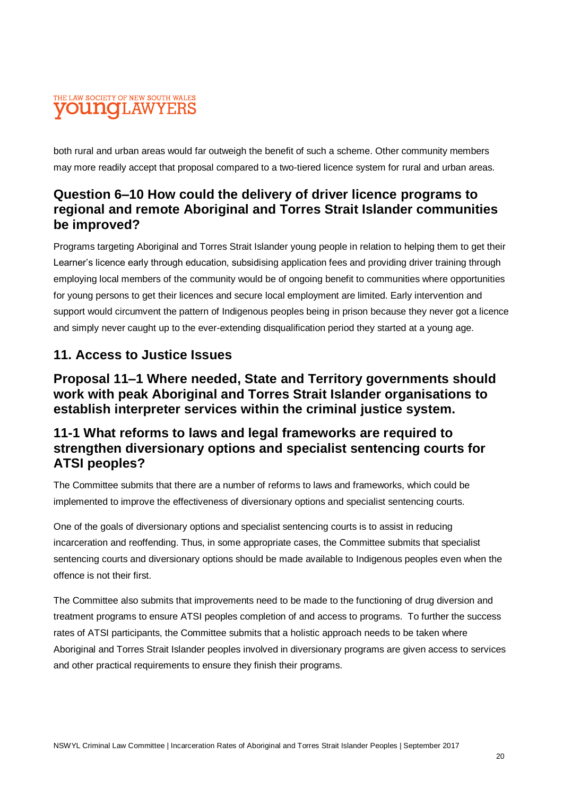#### THE LAW SOCIETY OF NEW SOUTH WALES **OUNOLAWYER**

both rural and urban areas would far outweigh the benefit of such a scheme. Other community members may more readily accept that proposal compared to a two-tiered licence system for rural and urban areas.

#### **Question 6–10 How could the delivery of driver licence programs to regional and remote Aboriginal and Torres Strait Islander communities be improved?**

Programs targeting Aboriginal and Torres Strait Islander young people in relation to helping them to get their Learner's licence early through education, subsidising application fees and providing driver training through employing local members of the community would be of ongoing benefit to communities where opportunities for young persons to get their licences and secure local employment are limited. Early intervention and support would circumvent the pattern of Indigenous peoples being in prison because they never got a licence and simply never caught up to the ever-extending disqualification period they started at a young age.

#### **11. Access to Justice Issues**

#### **Proposal 11–1 Where needed, State and Territory governments should work with peak Aboriginal and Torres Strait Islander organisations to establish interpreter services within the criminal justice system.**

#### **11-1 What reforms to laws and legal frameworks are required to strengthen diversionary options and specialist sentencing courts for ATSI peoples?**

The Committee submits that there are a number of reforms to laws and frameworks, which could be implemented to improve the effectiveness of diversionary options and specialist sentencing courts.

One of the goals of diversionary options and specialist sentencing courts is to assist in reducing incarceration and reoffending. Thus, in some appropriate cases, the Committee submits that specialist sentencing courts and diversionary options should be made available to Indigenous peoples even when the offence is not their first.

The Committee also submits that improvements need to be made to the functioning of drug diversion and treatment programs to ensure ATSI peoples completion of and access to programs. To further the success rates of ATSI participants, the Committee submits that a holistic approach needs to be taken where Aboriginal and Torres Strait Islander peoples involved in diversionary programs are given access to services and other practical requirements to ensure they finish their programs.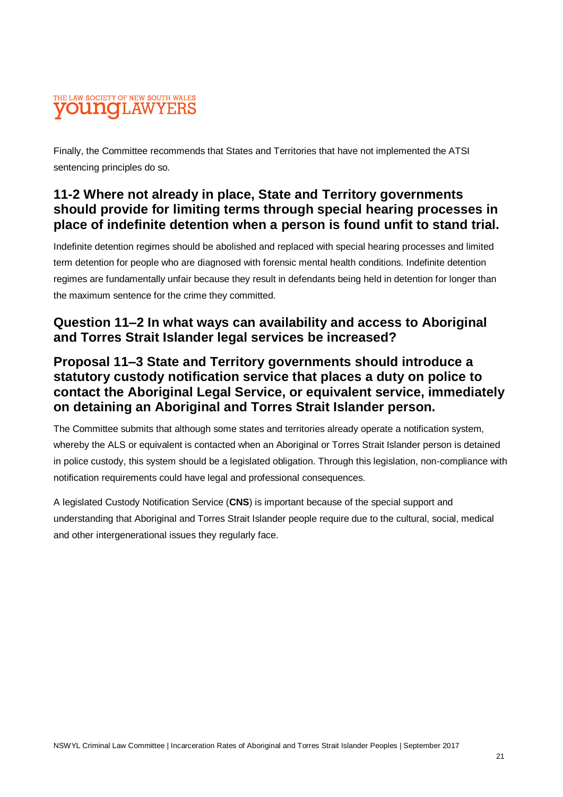#### THE LAW SOCIETY OF NEW SOUTH WALES **OUNCLAWYER**

Finally, the Committee recommends that States and Territories that have not implemented the ATSI sentencing principles do so.

#### **11-2 Where not already in place, State and Territory governments should provide for limiting terms through special hearing processes in place of indefinite detention when a person is found unfit to stand trial.**

Indefinite detention regimes should be abolished and replaced with special hearing processes and limited term detention for people who are diagnosed with forensic mental health conditions. Indefinite detention regimes are fundamentally unfair because they result in defendants being held in detention for longer than the maximum sentence for the crime they committed.

#### **Question 11–2 In what ways can availability and access to Aboriginal and Torres Strait Islander legal services be increased?**

#### **Proposal 11–3 State and Territory governments should introduce a statutory custody notification service that places a duty on police to contact the Aboriginal Legal Service, or equivalent service, immediately on detaining an Aboriginal and Torres Strait Islander person.**

The Committee submits that although some states and territories already operate a notification system, whereby the ALS or equivalent is contacted when an Aboriginal or Torres Strait Islander person is detained in police custody, this system should be a legislated obligation. Through this legislation, non-compliance with notification requirements could have legal and professional consequences.

A legislated Custody Notification Service (**CNS**) is important because of the special support and understanding that Aboriginal and Torres Strait Islander people require due to the cultural, social, medical and other intergenerational issues they regularly face.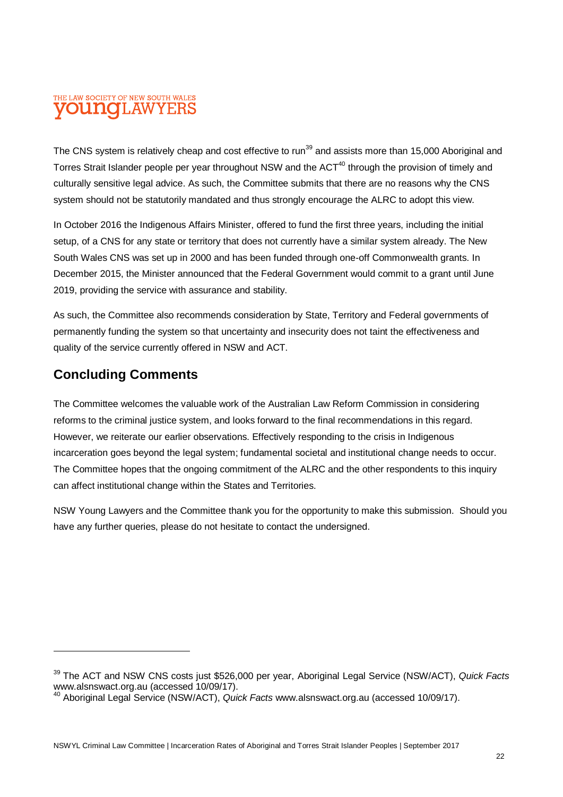#### THE LAW SOCIETY OF NEW SOUTH WALES **OUNOI.AWYEI**

The CNS system is relatively cheap and cost effective to run<sup>39</sup> and assists more than 15,000 Aboriginal and Torres Strait Islander people per year throughout NSW and the ACT<sup>40</sup> through the provision of timely and culturally sensitive legal advice. As such, the Committee submits that there are no reasons why the CNS system should not be statutorily mandated and thus strongly encourage the ALRC to adopt this view.

In October 2016 the Indigenous Affairs Minister, offered to fund the first three years, including the initial setup, of a CNS for any state or territory that does not currently have a similar system already. The New South Wales CNS was set up in 2000 and has been funded through one-off Commonwealth grants. In December 2015, the Minister announced that the Federal Government would commit to a grant until June 2019, providing the service with assurance and stability.

As such, the Committee also recommends consideration by State, Territory and Federal governments of permanently funding the system so that uncertainty and insecurity does not taint the effectiveness and quality of the service currently offered in NSW and ACT.

#### **Concluding Comments**

The Committee welcomes the valuable work of the Australian Law Reform Commission in considering reforms to the criminal justice system, and looks forward to the final recommendations in this regard. However, we reiterate our earlier observations. Effectively responding to the crisis in Indigenous incarceration goes beyond the legal system; fundamental societal and institutional change needs to occur. The Committee hopes that the ongoing commitment of the ALRC and the other respondents to this inquiry can affect institutional change within the States and Territories.

NSW Young Lawyers and the Committee thank you for the opportunity to make this submission. Should you have any further queries, please do not hesitate to contact the undersigned.

<sup>39</sup> The ACT and NSW CNS costs just \$526,000 per year, Aboriginal Legal Service (NSW/ACT), *Quick Facts* www.alsnswact.org.au (accessed 10/09/17).

<sup>40</sup> Aboriginal Legal Service (NSW/ACT), *Quick Facts* www.alsnswact.org.au (accessed 10/09/17).